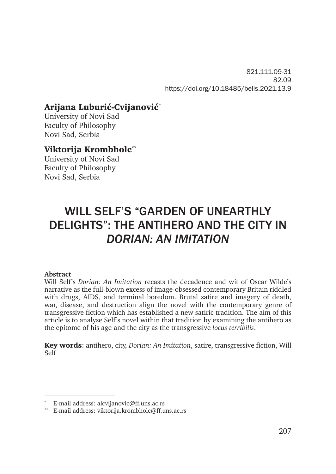821.111.09-31 82.09 https://doi.org/10.18485/bells.2021.13.9

# Arijana Luburić-Cvijanović\*

University of Novi Sad Faculty of Philosophy Novi Sad, Serbia

#### Viktorija Krombholc**\*\***

University of Novi Sad Faculty of Philosophy Novi Sad, Serbia

# WILL SELF'S "GARDEN OF UNEARTHLY DELIGHTS": THE ANTIHERO AND THE CITY IN *DORIAN: AN IMITATION*

#### **Abstract**

Will Self's *Dorian: An Imitation* recasts the decadence and wit of Oscar Wilde's narrative as the full-blown excess of image-obsessed contemporary Britain riddled with drugs, AIDS, and terminal boredom. Brutal satire and imagery of death, war, disease, and destruction align the novel with the contemporary genre of transgressive fiction which has established a new satiric tradition. The aim of this article is to analyse Self's novel within that tradition by examining the antihero as the epitome of his age and the city as the transgressive *locus terribilis*.

Key words: antihero, city, *Dorian: An Imitation*, satire, transgressive fiction, Will Self

E-mail address: alcvijanovic@ff.uns.ac.rs

<sup>\*\*</sup> E-mail address: viktorija.krombholc@ff.uns.ac.rs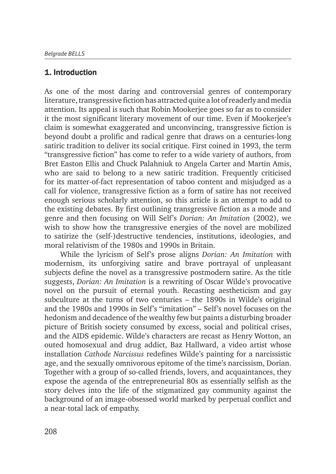## 1. Introduction

As one of the most daring and controversial genres of contemporary literature, transgressive fiction has attracted quite a lot of readerly and media attention. Its appeal is such that Robin Mookerjee goes so far as to consider it the most significant literary movement of our time. Even if Mookerjee's claim is somewhat exaggerated and unconvincing, transgressive fiction is beyond doubt a prolific and radical genre that draws on a centuries-long satiric tradition to deliver its social critique. First coined in 1993, the term "transgressive fiction" has come to refer to a wide variety of authors, from Bret Easton Ellis and Chuck Palahniuk to Angela Carter and Martin Amis, who are said to belong to a new satiric tradition. Frequently criticised for its matter-of-fact representation of taboo content and misjudged as a call for violence, transgressive fiction as a form of satire has not received enough serious scholarly attention, so this article is an attempt to add to the existing debates. By first outlining transgressive fiction as a mode and genre and then focusing on Will Self's *Dorian: An Imitation* (2002), we wish to show how the transgressive energies of the novel are mobilized to satirize the (self-)destructive tendencies, institutions, ideologies, and moral relativism of the 1980s and 1990s in Britain.

While the lyricism of Self's prose aligns *Dorian: An Imitation* with modernism, its unforgiving satire and brave portrayal of unpleasant subjects define the novel as a transgressive postmodern satire. As the title suggests, *Dorian: An Imitation* is a rewriting of Oscar Wilde's provocative novel on the pursuit of eternal youth. Recasting aestheticism and gay subculture at the turns of two centuries – the 1890s in Wilde's original and the 1980s and 1990s in Self's "imitation" – Self's novel focuses on the hedonism and decadence of the wealthy few but paints a disturbing broader picture of British society consumed by excess, social and political crises, and the AIDS epidemic. Wilde's characters are recast as Henry Wotton, an outed homosexual and drug addict, Baz Hallward, a video artist whose installation *Cathode Narcissus* redefines Wilde's painting for a narcissistic age, and the sexually omnivorous epitome of the time's narcissism, Dorian. Together with a group of so-called friends, lovers, and acquaintances, they expose the agenda of the entrepreneurial 80s as essentially selfish as the story delves into the life of the stigmatized gay community against the background of an image-obsessed world marked by perpetual conflict and a near-total lack of empathy.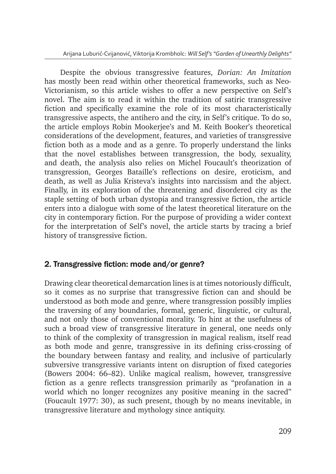Despite the obvious transgressive features, *Dorian: An Imitation* has mostly been read within other theoretical frameworks, such as Neo-Victorianism, so this article wishes to offer a new perspective on Self's novel. The aim is to read it within the tradition of satiric transgressive fiction and specifically examine the role of its most characteristically transgressive aspects, the antihero and the city, in Self's critique. To do so, the article employs Robin Mookerjee's and M. Keith Booker's theoretical considerations of the development, features, and varieties of transgressive fiction both as a mode and as a genre. To properly understand the links that the novel establishes between transgression, the body, sexuality, and death, the analysis also relies on Michel Foucault's theorization of transgression, Georges Bataille's reflections on desire, eroticism, and death, as well as Julia Kristeva's insights into narcissism and the abject. Finally, in its exploration of the threatening and disordered city as the staple setting of both urban dystopia and transgressive fiction, the article enters into a dialogue with some of the latest theoretical literature on the city in contemporary fiction. For the purpose of providing a wider context for the interpretation of Self's novel, the article starts by tracing a brief history of transgressive fiction.

## 2. Transgressive fiction: mode and/or genre?

Drawing clear theoretical demarcation lines is at times notoriously difficult, so it comes as no surprise that transgressive fiction can and should be understood as both mode and genre, where transgression possibly implies the traversing of any boundaries, formal, generic, linguistic, or cultural, and not only those of conventional morality. To hint at the usefulness of such a broad view of transgressive literature in general, one needs only to think of the complexity of transgression in magical realism, itself read as both mode and genre, transgressive in its defining criss-crossing of the boundary between fantasy and reality, and inclusive of particularly subversive transgressive variants intent on disruption of fixed categories (Bowers 2004: 66–82). Unlike magical realism, however, transgressive fiction as a genre reflects transgression primarily as "profanation in a world which no longer recognizes any positive meaning in the sacred" (Foucault 1977: 30), as such present, though by no means inevitable, in transgressive literature and mythology since antiquity.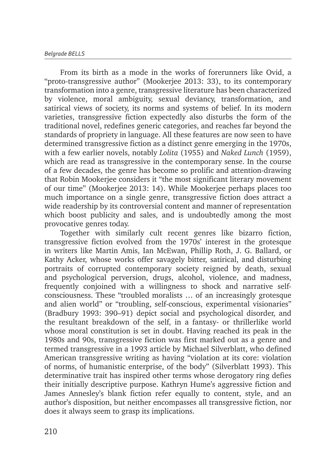From its birth as a mode in the works of forerunners like Ovid, a "proto-transgressive author" (Mookerjee 2013: 33), to its contemporary transformation into a genre, transgressive literature has been characterized by violence, moral ambiguity, sexual deviancy, transformation, and satirical views of society, its norms and systems of belief. In its modern varieties, transgressive fiction expectedly also disturbs the form of the traditional novel, redefines generic categories, and reaches far beyond the standards of propriety in language. All these features are now seen to have determined transgressive fiction as a distinct genre emerging in the 1970s, with a few earlier novels, notably *Lolita* (1955) and *Naked Lunch* (1959), which are read as transgressive in the contemporary sense. In the course of a few decades, the genre has become so prolific and attention-drawing that Robin Mookerjee considers it "the most significant literary movement of our time" (Mookerjee 2013: 14). While Mookerjee perhaps places too much importance on a single genre, transgressive fiction does attract a wide readership by its controversial content and manner of representation which boost publicity and sales, and is undoubtedly among the most provocative genres today.

Together with similarly cult recent genres like bizarro fiction, transgressive fiction evolved from the 1970s' interest in the grotesque in writers like Martin Amis, Ian McEwan, Phillip Roth, J. G. Ballard, or Kathy Acker, whose works offer savagely bitter, satirical, and disturbing portraits of corrupted contemporary society reigned by death, sexual and psychological perversion, drugs, alcohol, violence, and madness, frequently conjoined with a willingness to shock and narrative selfconsciousness. These "troubled moralists … of an increasingly grotesque and alien world" or "troubling, self-conscious, experimental visionaries" (Bradbury 1993: 390–91) depict social and psychological disorder, and the resultant breakdown of the self, in a fantasy- or thrillerlike world whose moral constitution is set in doubt. Having reached its peak in the 1980s and 90s, transgressive fiction was first marked out as a genre and termed transgressive in a 1993 article by Michael Silverblatt, who defined American transgressive writing as having "violation at its core: violation of norms, of humanistic enterprise, of the body" (Silverblatt 1993). This determinative trait has inspired other terms whose derogatory ring defies their initially descriptive purpose. Kathryn Hume's aggressive fiction and James Annesley's blank fiction refer equally to content, style, and an author's disposition, but neither encompasses all transgressive fiction, nor does it always seem to grasp its implications.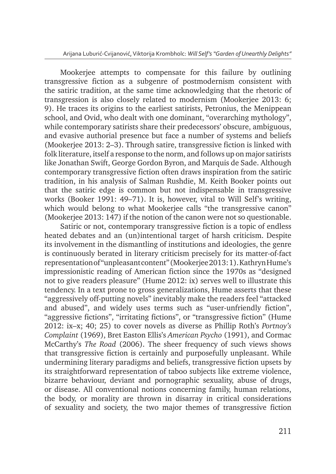Mookerjee attempts to compensate for this failure by outlining transgressive fiction as a subgenre of postmodernism consistent with the satiric tradition, at the same time acknowledging that the rhetoric of transgression is also closely related to modernism (Mookerjee 2013: 6; 9). He traces its origins to the earliest satirists, Petronius, the Menippean school, and Ovid, who dealt with one dominant, "overarching mythology", while contemporary satirists share their predecessors' obscure, ambiguous, and evasive authorial presence but face a number of systems and beliefs (Mookerjee 2013: 2–3). Through satire, transgressive fiction is linked with folk literature, itself a response to the norm, and follows up on major satirists like Jonathan Swift, George Gordon Byron, and Marquis de Sade. Although contemporary transgressive fiction often draws inspiration from the satiric tradition, in his analysis of Salman Rushdie, M. Keith Booker points out that the satiric edge is common but not indispensable in transgressive works (Booker 1991: 49–71). It is, however, vital to Will Self's writing, which would belong to what Mookerjee calls "the transgressive canon" (Mookerjee 2013: 147) if the notion of the canon were not so questionable.

Satiric or not, contemporary transgressive fiction is a topic of endless heated debates and an (un)intentional target of harsh criticism. Despite its involvement in the dismantling of institutions and ideologies, the genre is continuously berated in literary criticism precisely for its matter-of-fact representation of "unpleasant content" (Mookerjee 2013: 1). Kathryn Hume's impressionistic reading of American fiction since the 1970s as "designed not to give readers pleasure" (Hume 2012: ix) serves well to illustrate this tendency. In a text prone to gross generalizations, Hume asserts that these "aggressively off-putting novels" inevitably make the readers feel "attacked and abused", and widely uses terms such as "user-unfriendly fiction", "aggressive fictions", "irritating fictions", or "transgressive fiction" (Hume 2012: ix–x; 40; 25) to cover novels as diverse as Phillip Roth's *Portnoy's Complaint* (1969), Bret Easton Ellis's *American Psycho* (1991), and Cormac McCarthy's *The Road* (2006). The sheer frequency of such views shows that transgressive fiction is certainly and purposefully unpleasant. While undermining literary paradigms and beliefs, transgressive fiction upsets by its straightforward representation of taboo subjects like extreme violence, bizarre behaviour, deviant and pornographic sexuality, abuse of drugs, or disease. All conventional notions concerning family, human relations, the body, or morality are thrown in disarray in critical considerations of sexuality and society, the two major themes of transgressive fiction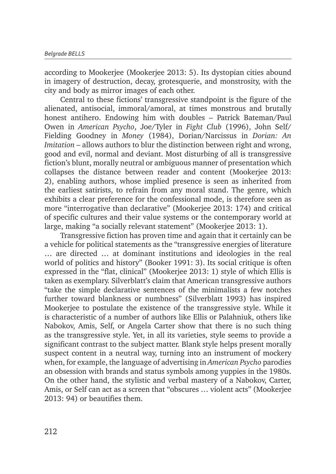according to Mookerjee (Mookerjee 2013: 5). Its dystopian cities abound in imagery of destruction, decay, grotesquerie, and monstrosity, with the city and body as mirror images of each other.

Central to these fictions' transgressive standpoint is the figure of the alienated, antisocial, immoral/amoral, at times monstrous and brutally honest antihero. Endowing him with doubles – Patrick Bateman/Paul Owen in *American Psycho*, Joe/Tyler in *Fight Club* (1996), John Self/ Fielding Goodney in *Money* (1984), Dorian/Narcissus in *Dorian: An Imitation* – allows authors to blur the distinction between right and wrong, good and evil, normal and deviant. Most disturbing of all is transgressive fiction's blunt, morally neutral or ambiguous manner of presentation which collapses the distance between reader and content (Mookerjee 2013: 2), enabling authors, whose implied presence is seen as inherited from the earliest satirists, to refrain from any moral stand. The genre, which exhibits a clear preference for the confessional mode, is therefore seen as more "interrogative than declarative" (Mookerjee 2013: 174) and critical of specific cultures and their value systems or the contemporary world at large, making "a socially relevant statement" (Mookerjee 2013: 1).

Transgressive fiction has proven time and again that it certainly can be a vehicle for political statements as the "transgressive energies of literature … are directed … at dominant institutions and ideologies in the real world of politics and history" (Booker 1991: 3). Its social critique is often expressed in the "flat, clinical" (Mookerjee 2013: 1) style of which Ellis is taken as exemplary. Silverblatt's claim that American transgressive authors "take the simple declarative sentences of the minimalists a few notches further toward blankness or numbness" (Silverblatt 1993) has inspired Mookerjee to postulate the existence of the transgressive style. While it is characteristic of a number of authors like Ellis or Palahniuk, others like Nabokov, Amis, Self, or Angela Carter show that there is no such thing as the transgressive style. Yet, in all its varieties, style seems to provide a significant contrast to the subject matter. Blank style helps present morally suspect content in a neutral way, turning into an instrument of mockery when, for example, the language of advertising in *American Psycho* parodies an obsession with brands and status symbols among yuppies in the 1980s. On the other hand, the stylistic and verbal mastery of a Nabokov, Carter, Amis, or Self can act as a screen that "obscures … violent acts" (Mookerjee 2013: 94) or beautifies them.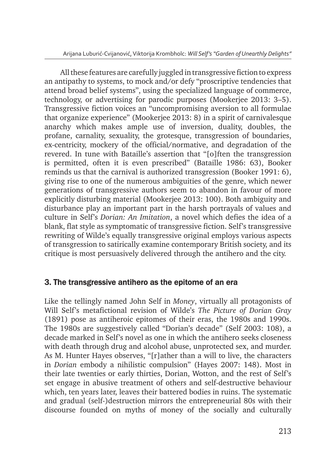All these features are carefully juggled in transgressive fiction to express an antipathy to systems, to mock and/or defy "proscriptive tendencies that attend broad belief systems", using the specialized language of commerce, technology, or advertising for parodic purposes (Mookerjee 2013: 3–5). Transgressive fiction voices an "uncompromising aversion to all formulae that organize experience" (Mookerjee 2013: 8) in a spirit of carnivalesque anarchy which makes ample use of inversion, duality, doubles, the profane, carnality, sexuality, the grotesque, transgression of boundaries, ex-centricity, mockery of the official/normative, and degradation of the revered. In tune with Bataille's assertion that "[o]ften the transgression is permitted, often it is even prescribed" (Bataille 1986: 63), Booker reminds us that the carnival is authorized transgression (Booker 1991: 6), giving rise to one of the numerous ambiguities of the genre, which newer generations of transgressive authors seem to abandon in favour of more explicitly disturbing material (Mookerjee 2013: 100). Both ambiguity and disturbance play an important part in the harsh portrayals of values and culture in Self's *Dorian: An Imitation*, a novel which defies the idea of a blank, flat style as symptomatic of transgressive fiction. Self's transgressive rewriting of Wilde's equally transgressive original employs various aspects of transgression to satirically examine contemporary British society, and its critique is most persuasively delivered through the antihero and the city.

#### 3. The transgressive antihero as the epitome of an era

Like the tellingly named John Self in *Money*, virtually all protagonists of Will Self's metafictional revision of Wilde's *The Picture of Dorian Gray* (1891) pose as antiheroic epitomes of their eras, the 1980s and 1990s. The 1980s are suggestively called "Dorian's decade" (Self 2003: 108), a decade marked in Self's novel as one in which the antihero seeks closeness with death through drug and alcohol abuse, unprotected sex, and murder. As M. Hunter Hayes observes, "[r]ather than a will to live, the characters in *Dorian* embody a nihilistic compulsion" (Hayes 2007: 148). Most in their late twenties or early thirties, Dorian, Wotton, and the rest of Self's set engage in abusive treatment of others and self-destructive behaviour which, ten years later, leaves their battered bodies in ruins. The systematic and gradual (self-)destruction mirrors the entrepreneurial 80s with their discourse founded on myths of money of the socially and culturally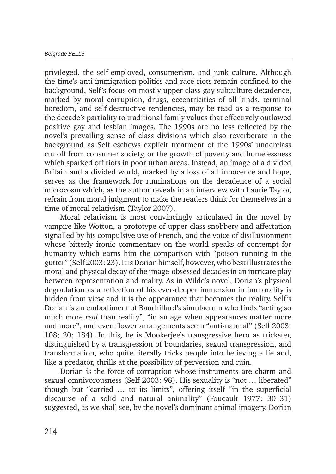privileged, the self-employed, consumerism, and junk culture. Although the time's anti-immigration politics and race riots remain confined to the background, Self's focus on mostly upper-class gay subculture decadence, marked by moral corruption, drugs, eccentricities of all kinds, terminal boredom, and self-destructive tendencies, may be read as a response to the decade's partiality to traditional family values that effectively outlawed positive gay and lesbian images. The 1990s are no less reflected by the novel's prevailing sense of class divisions which also reverberate in the background as Self eschews explicit treatment of the 1990s' underclass cut off from consumer society, or the growth of poverty and homelessness which sparked off riots in poor urban areas. Instead, an image of a divided Britain and a divided world, marked by a loss of all innocence and hope, serves as the framework for ruminations on the decadence of a social microcosm which, as the author reveals in an interview with Laurie Taylor, refrain from moral judgment to make the readers think for themselves in a time of moral relativism (Taylor 2007).

Moral relativism is most convincingly articulated in the novel by vampire-like Wotton, a prototype of upper-class snobbery and affectation signalled by his compulsive use of French, and the voice of disillusionment whose bitterly ironic commentary on the world speaks of contempt for humanity which earns him the comparison with "poison running in the gutter" (Self 2003: 23). It is Dorian himself, however, who best illustrates the moral and physical decay of the image-obsessed decades in an intricate play between representation and reality. As in Wilde's novel, Dorian's physical degradation as a reflection of his ever-deeper immersion in immorality is hidden from view and it is the appearance that becomes the reality. Self's Dorian is an embodiment of Baudrillard's simulacrum who finds "acting so much more *real* than reality", "in an age when appearances matter more and more", and even flower arrangements seem "anti-natural" (Self 2003: 108; 20; 184). In this, he is Mookerjee's transgressive hero as trickster, distinguished by a transgression of boundaries, sexual transgression, and transformation, who quite literally tricks people into believing a lie and, like a predator, thrills at the possibility of perversion and ruin.

Dorian is the force of corruption whose instruments are charm and sexual omnivorousness (Self 2003: 98). His sexuality is "not … liberated" though but "carried … to its limits", offering itself "in the superficial discourse of a solid and natural animality" (Foucault 1977: 30–31) suggested, as we shall see, by the novel's dominant animal imagery. Dorian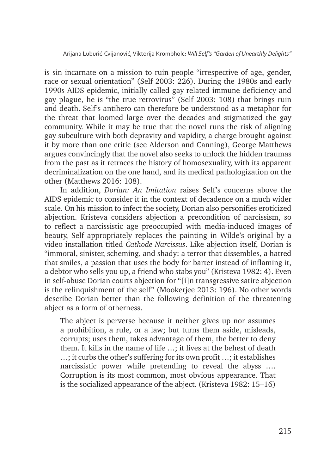is sin incarnate on a mission to ruin people "irrespective of age, gender, race or sexual orientation" (Self 2003: 226). During the 1980s and early 1990s AIDS epidemic, initially called gay-related immune deficiency and gay plague, he is "the true retrovirus" (Self 2003: 108) that brings ruin and death. Self's antihero can therefore be understood as a metaphor for the threat that loomed large over the decades and stigmatized the gay community. While it may be true that the novel runs the risk of aligning gay subculture with both depravity and vapidity, a charge brought against it by more than one critic (see Alderson and Canning), George Matthews argues convincingly that the novel also seeks to unlock the hidden traumas from the past as it retraces the history of homosexuality, with its apparent decriminalization on the one hand, and its medical pathologization on the other (Matthews 2016: 108).

In addition, *Dorian: An Imitation* raises Self's concerns above the AIDS epidemic to consider it in the context of decadence on a much wider scale. On his mission to infect the society, Dorian also personifies eroticized abjection. Kristeva considers abjection a precondition of narcissism, so to reflect a narcissistic age preoccupied with media-induced images of beauty, Self appropriately replaces the painting in Wilde's original by a video installation titled *Cathode Narcissus*. Like abjection itself, Dorian is "immoral, sinister, scheming, and shady: a terror that dissembles, a hatred that smiles, a passion that uses the body for barter instead of inflaming it, a debtor who sells you up, a friend who stabs you" (Kristeva 1982: 4). Even in self-abuse Dorian courts abjection for "[i]n transgressive satire abjection is the relinquishment of the self" (Mookerjee 2013: 196). No other words describe Dorian better than the following definition of the threatening abject as a form of otherness.

The abject is perverse because it neither gives up nor assumes a prohibition, a rule, or a law; but turns them aside, misleads, corrupts; uses them, takes advantage of them, the better to deny them. It kills in the name of life …; it lives at the behest of death …; it curbs the other's suffering for its own profit …; it establishes narcissistic power while pretending to reveal the abyss …. Corruption is its most common, most obvious appearance. That is the socialized appearance of the abject. (Kristeva 1982: 15–16)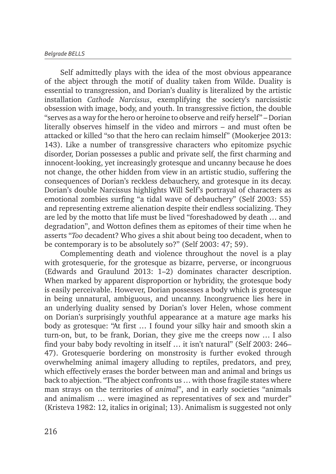Self admittedly plays with the idea of the most obvious appearance of the abject through the motif of duality taken from Wilde. Duality is essential to transgression, and Dorian's duality is literalized by the artistic installation *Cathode Narcissus*, exemplifying the society's narcissistic obsession with image, body, and youth. In transgressive fiction, the double "serves as a way for the hero or heroine to observe and reify herself" – Dorian literally observes himself in the video and mirrors – and must often be attacked or killed "so that the hero can reclaim himself" (Mookerjee 2013: 143). Like a number of transgressive characters who epitomize psychic disorder, Dorian possesses a public and private self, the first charming and innocent-looking, yet increasingly grotesque and uncanny because he does not change, the other hidden from view in an artistic studio, suffering the consequences of Dorian's reckless debauchery, and grotesque in its decay. Dorian's double Narcissus highlights Will Self's portrayal of characters as emotional zombies surfing "a tidal wave of debauchery" (Self 2003: 55) and representing extreme alienation despite their endless socializing. They are led by the motto that life must be lived "foreshadowed by death … and degradation", and Wotton defines them as epitomes of their time when he asserts "*Too* decadent? Who gives a shit about being too decadent, when to be contemporary is to be absolutely so?" (Self 2003: 47; 59).

Complementing death and violence throughout the novel is a play with grotesquerie, for the grotesque as bizarre, perverse, or incongruous (Edwards and Graulund 2013: 1–2) dominates character description. When marked by apparent disproportion or hybridity, the grotesque body is easily perceivable. However, Dorian possesses a body which is grotesque in being unnatural, ambiguous, and uncanny. Incongruence lies here in an underlying duality sensed by Dorian's lover Helen, whose comment on Dorian's surprisingly youthful appearance at a mature age marks his body as grotesque: "At first … I found your silky hair and smooth skin a turn-on, but, to be frank, Dorian, they give me the creeps now … I also find your baby body revolting in itself … it isn't natural" (Self 2003: 246– 47). Grotesquerie bordering on monstrosity is further evoked through overwhelming animal imagery alluding to reptiles, predators, and prey, which effectively erases the border between man and animal and brings us back to abjection. "The abject confronts us … with those fragile states where man strays on the territories of *animal*", and in early societies "animals and animalism … were imagined as representatives of sex and murder" (Kristeva 1982: 12, italics in original; 13). Animalism is suggested not only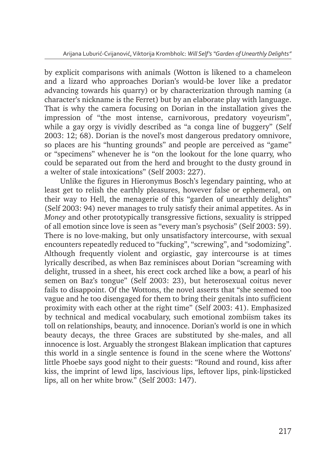by explicit comparisons with animals (Wotton is likened to a chameleon and a lizard who approaches Dorian's would-be lover like a predator advancing towards his quarry) or by characterization through naming (a character's nickname is the Ferret) but by an elaborate play with language. That is why the camera focusing on Dorian in the installation gives the impression of "the most intense, carnivorous, predatory voyeurism", while a gay orgy is vividly described as "a conga line of buggery" (Self 2003: 12; 68). Dorian is the novel's most dangerous predatory omnivore, so places are his "hunting grounds" and people are perceived as "game" or "specimens" whenever he is "on the lookout for the lone quarry, who could be separated out from the herd and brought to the dusty ground in a welter of stale intoxications" (Self 2003: 227).

Unlike the figures in Hieronymus Bosch's legendary painting, who at least get to relish the earthly pleasures, however false or ephemeral, on their way to Hell, the menagerie of this "garden of unearthly delights" (Self 2003: 94) never manages to truly satisfy their animal appetites. As in *Money* and other prototypically transgressive fictions, sexuality is stripped of all emotion since love is seen as "every man's psychosis" (Self 2003: 59). There is no love-making, but only unsatisfactory intercourse, with sexual encounters repeatedly reduced to "fucking", "screwing", and "sodomizing". Although frequently violent and orgiastic, gay intercourse is at times lyrically described, as when Baz reminisces about Dorian "screaming with delight, trussed in a sheet, his erect cock arched like a bow, a pearl of his semen on Baz's tongue" (Self 2003: 23), but heterosexual coitus never fails to disappoint. Of the Wottons, the novel asserts that "she seemed too vague and he too disengaged for them to bring their genitals into sufficient proximity with each other at the right time" (Self 2003: 41). Emphasized by technical and medical vocabulary, such emotional zombiism takes its toll on relationships, beauty, and innocence. Dorian's world is one in which beauty decays, the three Graces are substituted by she-males, and all innocence is lost. Arguably the strongest Blakean implication that captures this world in a single sentence is found in the scene where the Wottons' little Phoebe says good night to their guests: "Round and round, kiss after kiss, the imprint of lewd lips, lascivious lips, leftover lips, pink-lipsticked lips, all on her white brow." (Self 2003: 147).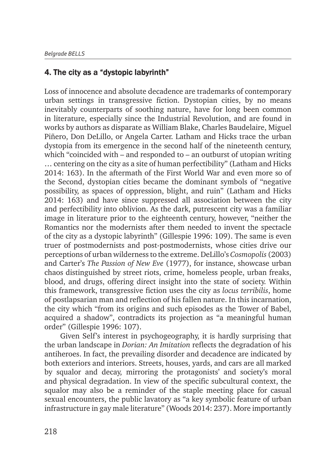#### 4. The city as a "dystopic labyrinth"

Loss of innocence and absolute decadence are trademarks of contemporary urban settings in transgressive fiction. Dystopian cities, by no means inevitably counterparts of soothing nature, have for long been common in literature, especially since the Industrial Revolution, and are found in works by authors as disparate as William Blake, Charles Baudelaire, Miguel Piñero, Don DeLillo, or Angela Carter. Latham and Hicks trace the urban dystopia from its emergence in the second half of the nineteenth century, which "coincided with – and responded to – an outburst of utopian writing … centering on the city as a site of human perfectibility" (Latham and Hicks 2014: 163). In the aftermath of the First World War and even more so of the Second, dystopian cities became the dominant symbols of "negative possibility, as spaces of oppression, blight, and ruin" (Latham and Hicks 2014: 163) and have since suppressed all association between the city and perfectibility into oblivion. As the dark, putrescent city was a familiar image in literature prior to the eighteenth century, however, "neither the Romantics nor the modernists after them needed to invent the spectacle of the city as a dystopic labyrinth" (Gillespie 1996: 109). The same is even truer of postmodernists and post-postmodernists, whose cities drive our perceptions of urban wilderness to the extreme. DeLillo's *Cosmopolis* (2003) and Carter's *The Passion of New Eve* (1977), for instance, showcase urban chaos distinguished by street riots, crime, homeless people, urban freaks, blood, and drugs, offering direct insight into the state of society. Within this framework, transgressive fiction uses the city as *locus terribilis*, home of postlapsarian man and reflection of his fallen nature. In this incarnation, the city which "from its origins and such episodes as the Tower of Babel, acquired a shadow", contradicts its projection as "a meaningful human order" (Gillespie 1996: 107).

Given Self's interest in psychogeography, it is hardly surprising that the urban landscape in *Dorian: An Imitation* reflects the degradation of his antiheroes. In fact, the prevailing disorder and decadence are indicated by both exteriors and interiors. Streets, houses, yards, and cars are all marked by squalor and decay, mirroring the protagonists' and society's moral and physical degradation. In view of the specific subcultural context, the squalor may also be a reminder of the staple meeting place for casual sexual encounters, the public lavatory as "a key symbolic feature of urban infrastructure in gay male literature" (Woods 2014: 237). More importantly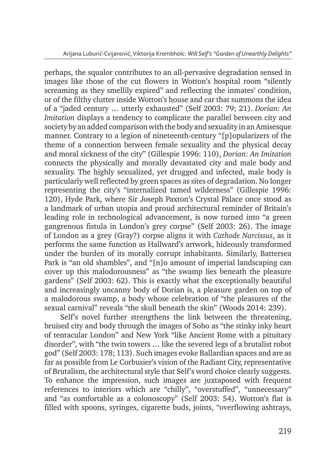perhaps, the squalor contributes to an all-pervasive degradation sensed in images like those of the cut flowers in Wotton's hospital room "silently screaming as they smellily expired" and reflecting the inmates' condition, or of the filthy clutter inside Wotton's house and car that summons the idea of a "jaded century … utterly exhausted" (Self 2003: 79; 21). *Dorian: An Imitation* displays a tendency to complicate the parallel between city and society by an added comparison with the body and sexuality in an Amisesque manner. Contrary to a legion of nineteenth-century "[p]opularizers of the theme of a connection between female sexuality and the physical decay and moral sickness of the city" (Gillespie 1996: 110), *Dorian: An Imitation* connects the physically and morally devastated city and male body and sexuality. The highly sexualized, yet drugged and infected, male body is particularly well reflected by green spaces as sites of degradation. No longer representing the city's "internalized tamed wilderness" (Gillespie 1996: 120), Hyde Park, where Sir Joseph Paxton's Crystal Palace once stood as a landmark of urban utopia and proud architectural reminder of Britain's leading role in technological advancement, is now turned into "a green gangrenous fistula in London's grey corpse" (Self 2003: 26). The image of London as a grey (Gray?) corpse aligns it with *Cathode Narcissus*, as it performs the same function as Hallward's artwork, hideously transformed under the burden of its morally corrupt inhabitants. Similarly, Battersea Park is "an old shambles", and "[n]o amount of imperial landscaping can cover up this malodorousness" as "the swamp lies beneath the pleasure gardens" (Self 2003: 62). This is exactly what the exceptionally beautiful and increasingly uncanny body of Dorian is, a pleasure garden on top of a malodorous swamp, a body whose celebration of "the pleasures of the sexual carnival" reveals "the skull beneath the skin" (Woods 2014: 239).

Self's novel further strengthens the link between the threatening, bruised city and body through the images of Soho as "the stinky inky heart of tentacular London" and New York "like Ancient Rome with a pituitary disorder", with "the twin towers … like the severed legs of a brutalist robot god" (Self 2003: 178; 113). Such images evoke Ballardian spaces and are as far as possible from Le Corbusier's vision of the Radiant City, representative of Brutalism, the architectural style that Self's word choice clearly suggests. To enhance the impression, such images are juxtaposed with frequent references to interiors which are "chilly", "overstuffed", "unnecessary" and "as comfortable as a colonoscopy" (Self 2003: 54). Wotton's flat is filled with spoons, syringes, cigarette buds, joints, "overflowing ashtrays,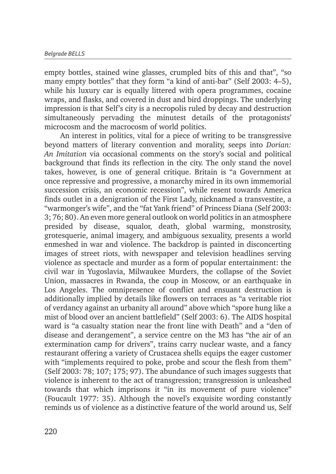empty bottles, stained wine glasses, crumpled bits of this and that", "so many empty bottles" that they form "a kind of anti-bar" (Self 2003: 4–5), while his luxury car is equally littered with opera programmes, cocaine wraps, and flasks, and covered in dust and bird droppings. The underlying impression is that Self's city is a necropolis ruled by decay and destruction simultaneously pervading the minutest details of the protagonists' microcosm and the macrocosm of world politics.

An interest in politics, vital for a piece of writing to be transgressive beyond matters of literary convention and morality, seeps into *Dorian: An Imitation* via occasional comments on the story's social and political background that finds its reflection in the city. The only stand the novel takes, however, is one of general critique. Britain is "a Government at once repressive and progressive, a monarchy mired in its own immemorial succession crisis, an economic recession", while resent towards America finds outlet in a denigration of the First Lady, nicknamed a transvestite, a "warmonger's wife", and the "fat Yank friend" of Princess Diana (Self 2003: 3; 76; 80). An even more general outlook on world politics in an atmosphere presided by disease, squalor, death, global warming, monstrosity, grotesquerie, animal imagery, and ambiguous sexuality, presents a world enmeshed in war and violence. The backdrop is painted in disconcerting images of street riots, with newspaper and television headlines serving violence as spectacle and murder as a form of popular entertainment: the civil war in Yugoslavia, Milwaukee Murders, the collapse of the Soviet Union, massacres in Rwanda, the coup in Moscow, or an earthquake in Los Angeles. The omnipresence of conflict and ensuant destruction is additionally implied by details like flowers on terraces as "a veritable riot of verdancy against an urbanity all around" above which "spore hung like a mist of blood over an ancient battlefield" (Self 2003: 6). The AIDS hospital ward is "a casualty station near the front line with Death" and a "den of disease and derangement", a service centre on the M3 has "the air of an extermination camp for drivers", trains carry nuclear waste, and a fancy restaurant offering a variety of Crustacea shells equips the eager customer with "implements required to poke, probe and scour the flesh from them" (Self 2003: 78; 107; 175; 97). The abundance of such images suggests that violence is inherent to the act of transgression; transgression is unleashed towards that which imprisons it "in its movement of pure violence" (Foucault 1977: 35). Although the novel's exquisite wording constantly reminds us of violence as a distinctive feature of the world around us, Self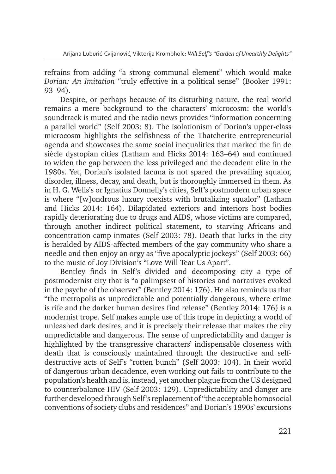refrains from adding "a strong communal element" which would make *Dorian: An Imitation* "truly effective in a political sense" (Booker 1991: 93–94).

Despite, or perhaps because of its disturbing nature, the real world remains a mere background to the characters' microcosm: the world's soundtrack is muted and the radio news provides "information concerning a parallel world" (Self 2003: 8). The isolationism of Dorian's upper-class microcosm highlights the selfishness of the Thatcherite entrepreneurial agenda and showcases the same social inequalities that marked the fin de siècle dystopian cities (Latham and Hicks 2014: 163–64) and continued to widen the gap between the less privileged and the decadent elite in the 1980s. Yet, Dorian's isolated lacuna is not spared the prevailing squalor, disorder, illness, decay, and death, but is thoroughly immersed in them. As in H. G. Wells's or Ignatius Donnelly's cities, Self's postmodern urban space is where "[w]ondrous luxury coexists with brutalizing squalor" (Latham and Hicks 2014: 164). Dilapidated exteriors and interiors host bodies rapidly deteriorating due to drugs and AIDS, whose victims are compared, through another indirect political statement, to starving Africans and concentration camp inmates (Self 2003: 78). Death that lurks in the city is heralded by AIDS-affected members of the gay community who share a needle and then enjoy an orgy as "five apocalyptic jockeys" (Self 2003: 66) to the music of Joy Division's "Love Will Tear Us Apart".

Bentley finds in Self's divided and decomposing city a type of postmodernist city that is "a palimpsest of histories and narratives evoked in the psyche of the observer" (Bentley 2014: 176). He also reminds us that "the metropolis as unpredictable and potentially dangerous, where crime is rife and the darker human desires find release" (Bentley 2014: 176) is a modernist trope. Self makes ample use of this trope in depicting a world of unleashed dark desires, and it is precisely their release that makes the city unpredictable and dangerous. The sense of unpredictability and danger is highlighted by the transgressive characters' indispensable closeness with death that is consciously maintained through the destructive and selfdestructive acts of Self's "rotten bunch" (Self 2003: 104). In their world of dangerous urban decadence, even working out fails to contribute to the population's health and is, instead, yet another plague from the US designed to counterbalance HIV (Self 2003: 129). Unpredictability and danger are further developed through Self's replacement of "the acceptable homosocial conventions of society clubs and residences" and Dorian's 1890s' excursions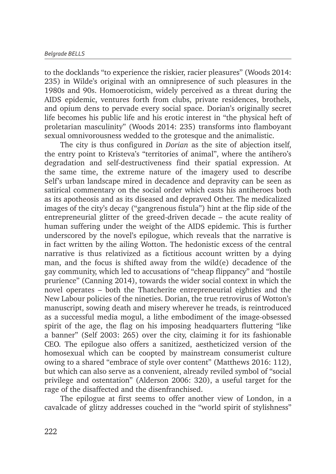to the docklands "to experience the riskier, racier pleasures" (Woods 2014: 235) in Wilde's original with an omnipresence of such pleasures in the 1980s and 90s. Homoeroticism, widely perceived as a threat during the AIDS epidemic, ventures forth from clubs, private residences, brothels, and opium dens to pervade every social space. Dorian's originally secret life becomes his public life and his erotic interest in "the physical heft of proletarian masculinity" (Woods 2014: 235) transforms into flamboyant sexual omnivorousness wedded to the grotesque and the animalistic.

The city is thus configured in *Dorian* as the site of abjection itself, the entry point to Kristeva's "territories of animal", where the antihero's degradation and self-destructiveness find their spatial expression. At the same time, the extreme nature of the imagery used to describe Self's urban landscape mired in decadence and depravity can be seen as satirical commentary on the social order which casts his antiheroes both as its apotheosis and as its diseased and depraved Other. The medicalized images of the city's decay ("gangrenous fistula") hint at the flip side of the entrepreneurial glitter of the greed-driven decade – the acute reality of human suffering under the weight of the AIDS epidemic. This is further underscored by the novel's epilogue, which reveals that the narrative is in fact written by the ailing Wotton. The hedonistic excess of the central narrative is thus relativized as a fictitious account written by a dying man, and the focus is shifted away from the wild(e) decadence of the gay community, which led to accusations of "cheap flippancy" and "hostile prurience" (Canning 2014), towards the wider social context in which the novel operates – both the Thatcherite entrepreneurial eighties and the New Labour policies of the nineties. Dorian, the true retrovirus of Wotton's manuscript, sowing death and misery wherever he treads, is reintroduced as a successful media mogul, a lithe embodiment of the image-obsessed spirit of the age, the flag on his imposing headquarters fluttering "like a banner" (Self 2003: 265) over the city, claiming it for its fashionable CEO. The epilogue also offers a sanitized, aestheticized version of the homosexual which can be coopted by mainstream consumerist culture owing to a shared "embrace of style over content" (Matthews 2016: 112), but which can also serve as a convenient, already reviled symbol of "social privilege and ostentation" (Alderson 2006: 320), a useful target for the rage of the disaffected and the disenfranchised.

The epilogue at first seems to offer another view of London, in a cavalcade of glitzy addresses couched in the "world spirit of stylishness"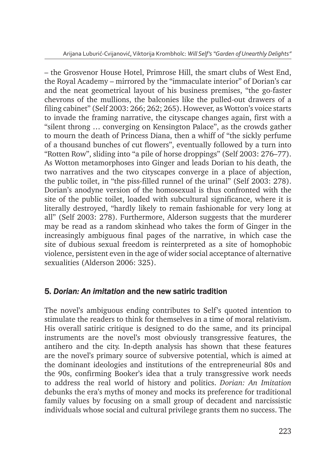– the Grosvenor House Hotel, Primrose Hill, the smart clubs of West End, the Royal Academy – mirrored by the "immaculate interior" of Dorian's car and the neat geometrical layout of his business premises, "the go-faster chevrons of the mullions, the balconies like the pulled-out drawers of a filing cabinet" (Self 2003: 266; 262; 265). However, as Wotton's voice starts to invade the framing narrative, the cityscape changes again, first with a "silent throng … converging on Kensington Palace", as the crowds gather to mourn the death of Princess Diana, then a whiff of "the sickly perfume of a thousand bunches of cut flowers", eventually followed by a turn into "Rotten Row", sliding into "a pile of horse droppings" (Self 2003: 276–77). As Wotton metamorphoses into Ginger and leads Dorian to his death, the two narratives and the two cityscapes converge in a place of abjection, the public toilet, in "the piss-filled runnel of the urinal" (Self 2003: 278). Dorian's anodyne version of the homosexual is thus confronted with the site of the public toilet, loaded with subcultural significance, where it is literally destroyed, "hardly likely to remain fashionable for very long at all" (Self 2003: 278). Furthermore, Alderson suggests that the murderer may be read as a random skinhead who takes the form of Ginger in the increasingly ambiguous final pages of the narrative, in which case the site of dubious sexual freedom is reinterpreted as a site of homophobic violence, persistent even in the age of wider social acceptance of alternative sexualities (Alderson 2006: 325).

## 5. *Dorian: An imitation* and the new satiric tradition

The novel's ambiguous ending contributes to Self's quoted intention to stimulate the readers to think for themselves in a time of moral relativism. His overall satiric critique is designed to do the same, and its principal instruments are the novel's most obviously transgressive features, the antihero and the city. In-depth analysis has shown that these features are the novel's primary source of subversive potential, which is aimed at the dominant ideologies and institutions of the entrepreneurial 80s and the 90s, confirming Booker's idea that a truly transgressive work needs to address the real world of history and politics. *Dorian: An Imitation* debunks the era's myths of money and mocks its preference for traditional family values by focusing on a small group of decadent and narcissistic individuals whose social and cultural privilege grants them no success. The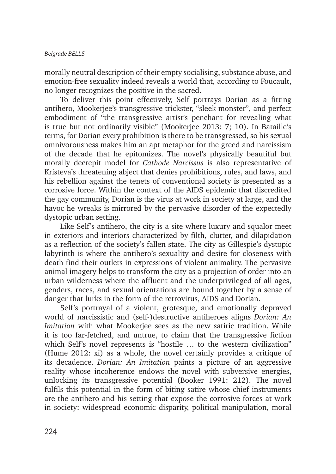morally neutral description of their empty socialising, substance abuse, and emotion-free sexuality indeed reveals a world that, according to Foucault, no longer recognizes the positive in the sacred.

To deliver this point effectively, Self portrays Dorian as a fitting antihero, Mookerjee's transgressive trickster, "sleek monster", and perfect embodiment of "the transgressive artist's penchant for revealing what is true but not ordinarily visible" (Mookerjee 2013: 7; 10). In Bataille's terms, for Dorian every prohibition is there to be transgressed, so his sexual omnivorousness makes him an apt metaphor for the greed and narcissism of the decade that he epitomizes. The novel's physically beautiful but morally decrepit model for *Cathode Narcissus* is also representative of Kristeva's threatening abject that denies prohibitions, rules, and laws, and his rebellion against the tenets of conventional society is presented as a corrosive force. Within the context of the AIDS epidemic that discredited the gay community, Dorian is the virus at work in society at large, and the havoc he wreaks is mirrored by the pervasive disorder of the expectedly dystopic urban setting.

Like Self's antihero, the city is a site where luxury and squalor meet in exteriors and interiors characterized by filth, clutter, and dilapidation as a reflection of the society's fallen state. The city as Gillespie's dystopic labyrinth is where the antihero's sexuality and desire for closeness with death find their outlets in expressions of violent animality. The pervasive animal imagery helps to transform the city as a projection of order into an urban wilderness where the affluent and the underprivileged of all ages, genders, races, and sexual orientations are bound together by a sense of danger that lurks in the form of the retrovirus, AIDS and Dorian.

Self's portrayal of a violent, grotesque, and emotionally depraved world of narcissistic and (self-)destructive antiheroes aligns *Dorian: An Imitation* with what Mookerjee sees as the new satiric tradition. While it is too far-fetched, and untrue, to claim that the transgressive fiction which Self's novel represents is "hostile … to the western civilization" (Hume 2012: xi) as a whole, the novel certainly provides a critique of its decadence. *Dorian: An Imitation* paints a picture of an aggressive reality whose incoherence endows the novel with subversive energies, unlocking its transgressive potential (Booker 1991: 212). The novel fulfils this potential in the form of biting satire whose chief instruments are the antihero and his setting that expose the corrosive forces at work in society: widespread economic disparity, political manipulation, moral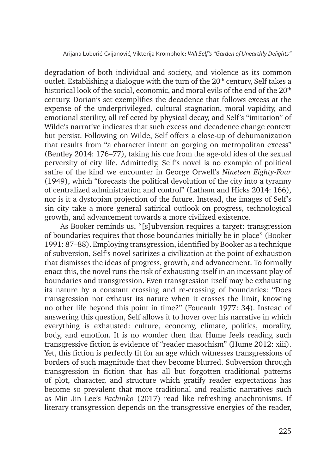degradation of both individual and society, and violence as its common outlet. Establishing a dialogue with the turn of the 20<sup>th</sup> century, Self takes a historical look of the social, economic, and moral evils of the end of the 20<sup>th</sup> century. Dorian's set exemplifies the decadence that follows excess at the expense of the underprivileged, cultural stagnation, moral vapidity, and emotional sterility, all reflected by physical decay, and Self's "imitation" of Wilde's narrative indicates that such excess and decadence change context but persist. Following on Wilde, Self offers a close-up of dehumanization that results from "a character intent on gorging on metropolitan excess" (Bentley 2014: 176–77), taking his cue from the age-old idea of the sexual perversity of city life. Admittedly, Self's novel is no example of political satire of the kind we encounter in George Orwell's *Nineteen Eighty-Four*  (1949), which "forecasts the political devolution of the city into a tyranny of centralized administration and control" (Latham and Hicks 2014: 166), nor is it a dystopian projection of the future. Instead, the images of Self's sin city take a more general satirical outlook on progress, technological growth, and advancement towards a more civilized existence.

As Booker reminds us, "[s]ubversion requires a target: transgression of boundaries requires that those boundaries initially be in place" (Booker 1991: 87–88). Employing transgression, identified by Booker as a technique of subversion, Self's novel satirizes a civilization at the point of exhaustion that dismisses the ideas of progress, growth, and advancement. To formally enact this, the novel runs the risk of exhausting itself in an incessant play of boundaries and transgression. Even transgression itself may be exhausting its nature by a constant crossing and re-crossing of boundaries: "Does transgression not exhaust its nature when it crosses the limit, knowing no other life beyond this point in time?" (Foucault 1977: 34). Instead of answering this question, Self allows it to hover over his narrative in which everything is exhausted: culture, economy, climate, politics, morality, body, and emotion. It is no wonder then that Hume feels reading such transgressive fiction is evidence of "reader masochism" (Hume 2012: xiii). Yet, this fiction is perfectly fit for an age which witnesses transgressions of borders of such magnitude that they become blurred. Subversion through transgression in fiction that has all but forgotten traditional patterns of plot, character, and structure which gratify reader expectations has become so prevalent that more traditional and realistic narratives such as Min Jin Lee's *Pachinko* (2017) read like refreshing anachronisms. If literary transgression depends on the transgressive energies of the reader,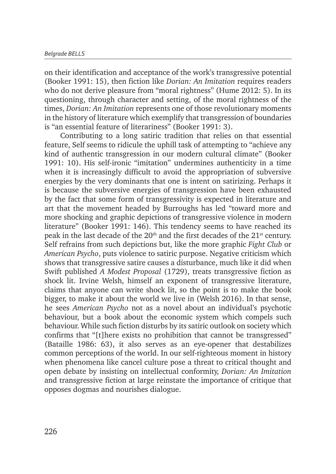on their identification and acceptance of the work's transgressive potential (Booker 1991: 15), then fiction like *Dorian: An Imitation* requires readers who do not derive pleasure from "moral rightness" (Hume 2012: 5). In its questioning, through character and setting, of the moral rightness of the times, *Dorian: An Imitation* represents one of those revolutionary moments in the history of literature which exemplify that transgression of boundaries is "an essential feature of literariness" (Booker 1991: 3).

Contributing to a long satiric tradition that relies on that essential feature, Self seems to ridicule the uphill task of attempting to "achieve any kind of authentic transgression in our modern cultural climate" (Booker 1991: 10). His self-ironic "imitation" undermines authenticity in a time when it is increasingly difficult to avoid the appropriation of subversive energies by the very dominants that one is intent on satirizing. Perhaps it is because the subversive energies of transgression have been exhausted by the fact that some form of transgressivity is expected in literature and art that the movement headed by Burroughs has led "toward more and more shocking and graphic depictions of transgressive violence in modern literature" (Booker 1991: 146). This tendency seems to have reached its peak in the last decade of the  $20<sup>th</sup>$  and the first decades of the  $21<sup>st</sup>$  century. Self refrains from such depictions but, like the more graphic *Fight Club* or *American Psycho*, puts violence to satiric purpose. Negative criticism which shows that transgressive satire causes a disturbance, much like it did when Swift published *A Modest Proposal* (1729), treats transgressive fiction as shock lit. Irvine Welsh, himself an exponent of transgressive literature, claims that anyone can write shock lit, so the point is to make the book bigger, to make it about the world we live in (Welsh 2016). In that sense, he sees *American Psycho* not as a novel about an individual's psychotic behaviour, but a book about the economic system which compels such behaviour. While such fiction disturbs by its satiric outlook on society which confirms that "[t]here exists no prohibition that cannot be transgressed" (Bataille 1986: 63), it also serves as an eye-opener that destabilizes common perceptions of the world. In our self-righteous moment in history when phenomena like cancel culture pose a threat to critical thought and open debate by insisting on intellectual conformity, *Dorian: An Imitation*  and transgressive fiction at large reinstate the importance of critique that opposes dogmas and nourishes dialogue.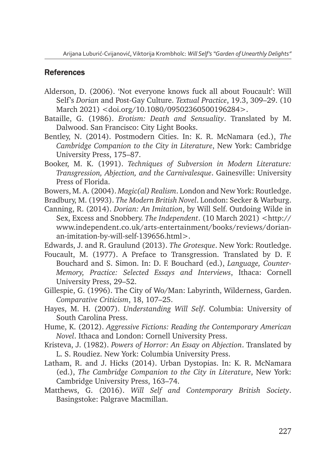#### References

- Alderson, D. (2006). 'Not everyone knows fuck all about Foucault': Will Self's *Dorian* and Post-Gay Culture. *Textual Practice*, 19.3, 309–29. (10 March 2021) <doi.org/10.1080/09502360500196284>.
- Bataille, G. (1986). *Erotism: Death and Sensuality*. Translated by M. Dalwood. San Francisco: City Light Books.
- Bentley, N. (2014). Postmodern Cities. In: K. R. McNamara (ed.), *The Cambridge Companion to the City in Literature*, New York: Cambridge University Press, 175–87.
- Booker, M. K. (1991). *Techniques of Subversion in Modern Literature: Transgression, Abjection, and the Carnivalesque*. Gainesville: University Press of Florida.
- Bowers, M. A. (2004). *Magic(al) Realism*. London and New York: Routledge.
- Bradbury, M. (1993). *The Modern British Novel*. London: Secker & Warburg.
- Canning, R. (2014). *Dorian: An Imitation*, by Will Self. Outdoing Wilde in Sex, Excess and Snobbery. *The Independent*. (10 March 2021) <http:// www.independent.co.uk/arts-entertainment/books/reviews/dorianan-imitation-by-will-self-139656.html>.
- Edwards, J. and R. Graulund (2013). *The Grotesque*. New York: Routledge.
- Foucault, M. (1977). A Preface to Transgression. Translated by D. F. Bouchard and S. Simon. In: D. F. Bouchard (ed.), *Language, Counter-Memory, Practice: Selected Essays and Interviews*, Ithaca: Cornell University Press, 29–52.
- Gillespie, G. (1996). The City of Wo/Man: Labyrinth, Wilderness, Garden. *Comparative Criticism*, 18, 107–25.
- Hayes, M. H. (2007). *Understanding Will Self*. Columbia: University of South Carolina Press.
- Hume, K. (2012). *Aggressive Fictions: Reading the Contemporary American Novel*. Ithaca and London: Cornell University Press.
- Kristeva, J. (1982). *Powers of Horror: An Essay on Abjection*. Translated by L. S. Roudiez. New York: Columbia University Press.
- Latham, R. and J. Hicks (2014). Urban Dystopias. In: K. R. McNamara (ed.), *The Cambridge Companion to the City in Literature*, New York: Cambridge University Press, 163–74.
- Matthews, G. (2016). *Will Self and Contemporary British Society*. Basingstoke: Palgrave Macmillan.